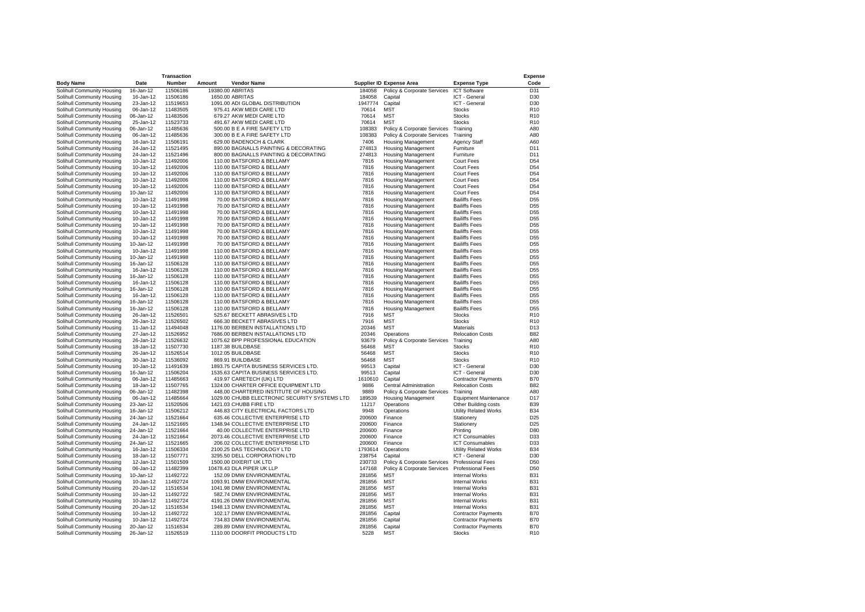|                            |           | <b>Transaction</b> |                                               |         |                                 |                              | <b>Expense</b>  |
|----------------------------|-----------|--------------------|-----------------------------------------------|---------|---------------------------------|------------------------------|-----------------|
| <b>Body Name</b>           | Date      | Number             | Amount<br><b>Vendor Name</b>                  |         | <b>Supplier ID Expense Area</b> | <b>Expense Type</b>          | Code            |
| Solihull Community Housing | 16-Jan-12 | 11506186           | 19380.00 ABRITAS                              | 184058  | Policy & Corporate Services     | <b>ICT Software</b>          | D31             |
| Solihull Community Housing | 16-Jan-12 | 11506186           | 1650.00 ABRITAS                               | 184058  | Capital                         | ICT - General                | D30             |
| Solihull Community Housing | 23-Jan-12 | 11519653           | 1091.00 ADI GLOBAL DISTRIBUTION               | 1947774 | Capital                         | ICT - General                | D30             |
| Solihull Community Housing | 06-Jan-12 | 11483505           | 975.41 AKW MEDI CARE LTD                      | 70614   | <b>MST</b>                      | <b>Stocks</b>                | R <sub>10</sub> |
| Solihull Community Housing | 06-Jan-12 | 11483506           | 679.27 AKW MEDI CARE LTD                      | 70614   | <b>MST</b>                      | <b>Stocks</b>                | R <sub>10</sub> |
|                            |           |                    |                                               |         |                                 |                              |                 |
| Solihull Community Housing | 25-Jan-12 | 11523733           | 491.67 AKW MEDI CARE LTD                      | 70614   | <b>MST</b>                      | <b>Stocks</b>                | R <sub>10</sub> |
| Solihull Community Housing | 06-Jan-12 | 11485636           | 500.00 B E A FIRE SAFETY LTD                  | 108383  | Policy & Corporate Services     | Training                     | A80             |
| Solihull Community Housing | 06-Jan-12 | 11485636           | 300.00 B E A FIRE SAFETY LTD                  | 108383  | Policy & Corporate Services     | Training                     | A80             |
| Solihull Community Housing | 16-Jan-12 | 11506191           | 629.00 BADENOCH & CLARK                       | 7406    | <b>Housing Management</b>       | <b>Agency Staff</b>          | A60             |
| Solihull Community Housing | 24-Jan-12 | 11521495           | 890.00 BAGNALLS PAINTING & DECORATING         | 274813  | <b>Housing Management</b>       | Furniture                    | D11             |
| Solihull Community Housing | 24-Jan-12 | 11521496           | 800.00 BAGNALLS PAINTING & DECORATING         | 274813  | <b>Housing Management</b>       | Furniture                    | D11             |
| Solihull Community Housing | 10-Jan-12 | 11492006           | 110.00 BATSFORD & BELLAMY                     | 7816    | <b>Housing Management</b>       | <b>Court Fees</b>            | D <sub>54</sub> |
| Solihull Community Housing | 10-Jan-12 | 11492006           | 110.00 BATSFORD & BELLAMY                     | 7816    | <b>Housing Management</b>       | <b>Court Fees</b>            | D <sub>54</sub> |
| Solihull Community Housing | 10-Jan-12 | 11492006           | 110.00 BATSFORD & BELLAMY                     | 7816    | <b>Housing Management</b>       | <b>Court Fees</b>            | D <sub>54</sub> |
| Solihull Community Housing | 10-Jan-12 | 11492006           | 110.00 BATSFORD & BELLAMY                     | 7816    | <b>Housing Management</b>       | Court Fees                   | D <sub>54</sub> |
| Solihull Community Housing | 10-Jan-12 | 11492006           | 110.00 BATSFORD & BELLAMY                     | 7816    | <b>Housing Management</b>       | Court Fees                   | D <sub>54</sub> |
|                            |           | 11492006           | 110.00 BATSFORD & BELLAMY                     | 7816    |                                 | Court Fees                   | D <sub>54</sub> |
| Solihull Community Housing | 10-Jan-12 |                    |                                               |         | <b>Housing Management</b>       |                              |                 |
| Solihull Community Housing | 10-Jan-12 | 11491998           | 70.00 BATSFORD & BELLAMY                      | 7816    | <b>Housing Management</b>       | <b>Bailiffs Fees</b>         | D <sub>55</sub> |
| Solihull Community Housing | 10-Jan-12 | 11491998           | 70.00 BATSFORD & BELLAMY                      | 7816    | <b>Housing Management</b>       | <b>Bailiffs Fees</b>         | D <sub>55</sub> |
| Solihull Community Housing | 10-Jan-12 | 11491998           | 70.00 BATSFORD & BELLAMY                      | 7816    | <b>Housing Management</b>       | <b>Bailiffs Fees</b>         | D <sub>55</sub> |
| Solihull Community Housing | 10-Jan-12 | 11491998           | 70.00 BATSFORD & BELLAMY                      | 7816    | <b>Housing Management</b>       | <b>Bailiffs Fees</b>         | D <sub>55</sub> |
| Solihull Community Housing | 10-Jan-12 | 11491998           | 70.00 BATSFORD & BELLAMY                      | 7816    | <b>Housing Management</b>       | <b>Bailiffs Fees</b>         | D <sub>55</sub> |
| Solihull Community Housing | 10-Jan-12 | 11491998           | 70.00 BATSFORD & BELLAMY                      | 7816    | <b>Housing Management</b>       | <b>Bailiffs Fees</b>         | D <sub>55</sub> |
| Solihull Community Housing | 10-Jan-12 | 11491998           | 70.00 BATSFORD & BELLAMY                      | 7816    | <b>Housing Management</b>       | <b>Bailiffs Fees</b>         | D <sub>55</sub> |
| Solihull Community Housing | 10-Jan-12 | 11491998           | 70.00 BATSFORD & BELLAMY                      | 7816    | <b>Housing Management</b>       | <b>Bailiffs Fees</b>         | D <sub>55</sub> |
| Solihull Community Housing | 10-Jan-12 | 11491998           | 110.00 BATSFORD & BELLAMY                     | 7816    | <b>Housing Management</b>       | <b>Bailiffs Fees</b>         | D <sub>55</sub> |
| Solihull Community Housing | 10-Jan-12 | 11491998           | 110.00 BATSFORD & BELLAMY                     | 7816    | <b>Housing Management</b>       | <b>Bailiffs Fees</b>         | D <sub>55</sub> |
| Solihull Community Housing | 16-Jan-12 | 11506128           | 110.00 BATSFORD & BELLAMY                     | 7816    | <b>Housing Management</b>       | <b>Bailiffs Fees</b>         | D <sub>55</sub> |
|                            |           |                    |                                               | 7816    |                                 |                              |                 |
| Solihull Community Housing | 16-Jan-12 | 11506128           | 110.00 BATSFORD & BELLAMY                     |         | <b>Housing Management</b>       | <b>Bailiffs Fees</b>         | D <sub>55</sub> |
| Solihull Community Housing | 16-Jan-12 | 11506128           | 110.00 BATSFORD & BELLAMY                     | 7816    | <b>Housing Management</b>       | <b>Bailiffs Fees</b>         | D <sub>55</sub> |
| Solihull Community Housing | 16-Jan-12 | 11506128           | 110.00 BATSFORD & BELLAMY                     | 7816    | <b>Housing Management</b>       | <b>Bailiffs Fees</b>         | D <sub>55</sub> |
| Solihull Community Housing | 16-Jan-12 | 11506128           | 110.00 BATSFORD & BELLAMY                     | 7816    | <b>Housing Management</b>       | <b>Bailiffs Fees</b>         | D <sub>55</sub> |
| Solihull Community Housing | 16-Jan-12 | 11506128           | 110.00 BATSFORD & BELLAMY                     | 7816    | <b>Housing Management</b>       | <b>Bailiffs Fees</b>         | D <sub>55</sub> |
| Solihull Community Housing | 16-Jan-12 | 11506128           | 110.00 BATSFORD & BELLAMY                     | 7816    | <b>Housing Management</b>       | <b>Bailiffs Fees</b>         | D <sub>55</sub> |
| Solihull Community Housing | 16-Jan-12 | 11506128           | 110.00 BATSFORD & BELLAMY                     | 7816    | <b>Housing Management</b>       | <b>Bailiffs Fees</b>         | D <sub>55</sub> |
| Solihull Community Housing | 26-Jan-12 | 11526501           | 525.67 BECKETT ABRASIVES LTD                  | 7916    | <b>MST</b>                      | <b>Stocks</b>                | R <sub>10</sub> |
| Solihull Community Housing | 26-Jan-12 | 11526502           | 666.30 BECKETT ABRASIVES LTD                  | 7916    | <b>MST</b>                      | <b>Stocks</b>                | R <sub>10</sub> |
| Solihull Community Housing | 11-Jan-12 | 11494048           | 1176.00 BERBEN INSTALLATIONS LTD              | 20346   | <b>MST</b>                      | Materials                    | D13             |
| Solihull Community Housing | 27-Jan-12 | 11526952           | 7686.00 BERBEN INSTALLATIONS LTD              | 20346   | Operations                      | <b>Relocation Costs</b>      | <b>B82</b>      |
| Solihull Community Housing | 26-Jan-12 | 11526632           | 1075.62 BPP PROFESSIONAL EDUCATION            | 93679   | Policy & Corporate Services     | Training                     | A80             |
|                            |           |                    |                                               |         |                                 |                              |                 |
| Solihull Community Housing | 18-Jan-12 | 11507730           | 1187.38 BUILDBASE                             | 56468   | <b>MST</b>                      | <b>Stocks</b>                | R <sub>10</sub> |
| Solihull Community Housing | 26-Jan-12 | 11526514           | 1012.05 BUILDBASE                             | 56468   | <b>MST</b>                      | <b>Stocks</b>                | R <sub>10</sub> |
| Solihull Community Housing | 30-Jan-12 | 11536092           | 869.91 BUILDBASE                              | 56468   | <b>MST</b>                      | <b>Stocks</b>                | R <sub>10</sub> |
| Solihull Community Housing | 10-Jan-12 | 11491639           | 1893.75 CAPITA BUSINESS SERVICES LTD.         | 99513   | Capital                         | ICT - General                | D30             |
| Solihull Community Housing | 16-Jan-12 | 11506204           | 1535.63 CAPITA BUSINESS SERVICES LTD.         | 99513   | Capital                         | ICT - General                | D30             |
| Solihull Community Housing | 06-Jan-12 | 11485663           | 419.97 CARETECH (UK) LTD                      | 1610610 | Capital                         | <b>Contractor Payments</b>   | <b>B70</b>      |
| Solihull Community Housing | 18-Jan-12 | 11507765           | 1324.00 CHARTER OFFICE EQUIPMENT LTD          | 9886    | Central Administration          | <b>Relocation Costs</b>      | <b>B82</b>      |
| Solihull Community Housing | 06-Jan-12 | 11482398           | 448.00 CHARTERED INSTITUTE OF HOUSING         | 9889    | Policy & Corporate Services     | Training                     | A80             |
| Solihull Community Housing | 06-Jan-12 | 11485664           | 1029.00 CHUBB ELECTRONIC SECURITY SYSTEMS LTD | 189539  | <b>Housing Management</b>       | <b>Equipment Maintenance</b> | D <sub>17</sub> |
| Solihull Community Housing | 23-Jan-12 | 11520506           | 1421.03 CHUBB FIRE LTD                        | 11217   | Operations                      | Other Building costs         | <b>B39</b>      |
| Solihull Community Housing | 16-Jan-12 | 11506212           | 446.83 CITY ELECTRICAL FACTORS LTD            | 9948    | Operations                      | <b>Utility Related Works</b> | <b>B34</b>      |
| Solihull Community Housing | 24-Jan-12 | 11521664           | 635.46 COLLECTIVE ENTERPRISE LTD              | 200600  | Finance                         | Stationery                   | D <sub>25</sub> |
|                            |           |                    |                                               |         |                                 |                              |                 |
| Solihull Community Housing | 24-Jan-12 | 11521665           | 1348.94 COLLECTIVE ENTERPRISE LTD             | 200600  | Finance                         | Stationery                   | D <sub>25</sub> |
| Solihull Community Housing | 24-Jan-12 | 11521664           | 40.00 COLLECTIVE ENTERPRISE LTD               | 200600  | Finance                         | Printing                     | D80             |
| Solihull Community Housing | 24-Jan-12 | 11521664           | 2073.46 COLLECTIVE ENTERPRISE LTD             | 200600  | Finance                         | <b>ICT Consumables</b>       | D33             |
| Solihull Community Housing | 24-Jan-12 | 11521665           | 206.02 COLLECTIVE ENTERPRISE LTD              | 200600  | Finance                         | <b>ICT Consumables</b>       | D33             |
| Solihull Community Housing | 16-Jan-12 | 11506334           | 2100.25 DAS TECHNOLOGY LTD                    | 1793614 | Operations                      | <b>Utility Related Works</b> | <b>B34</b>      |
| Solihull Community Housing | 18-Jan-12 | 11507771           | 3295.50 DELL CORPORATION LTD                  | 238754  | Capital                         | ICT - General                | D30             |
| Solihull Community Housing | 12-Jan-12 | 11501509           | 1500.00 DIXERIT UK LTD                        | 230733  | Policy & Corporate Services     | <b>Professional Fees</b>     | D50             |
| Solihull Community Housing | 06-Jan-12 | 11482399           | 10478.43 DLA PIPER UK LLP                     | 147168  | Policy & Corporate Services     | <b>Professional Fees</b>     | D50             |
| Solihull Community Housing | 10-Jan-12 | 11492722           | 152.09 DMW ENVIRONMENTAL                      | 281856  | <b>MST</b>                      | <b>Internal Works</b>        | <b>B31</b>      |
| Solihull Community Housing | 10-Jan-12 | 11492724           | 1093.91 DMW ENVIRONMENTAL                     | 281856  | <b>MST</b>                      | Internal Works               | <b>B31</b>      |
|                            |           |                    | 1041.98 DMW ENVIRONMENTAL                     | 281856  | <b>MST</b>                      |                              | <b>B31</b>      |
| Solihull Community Housing | 20-Jan-12 | 11516534           |                                               |         |                                 | Internal Works               |                 |
| Solihull Community Housing | 10-Jan-12 | 11492722           | 582.74 DMW ENVIRONMENTAL                      | 281856  | <b>MST</b>                      | Internal Works               | <b>B31</b>      |
| Solihull Community Housing | 10-Jan-12 | 11492724           | 4191.26 DMW ENVIRONMENTAL                     | 281856  | <b>MST</b>                      | Internal Works               | <b>B31</b>      |
| Solihull Community Housing | 20-Jan-12 | 11516534           | 1948.13 DMW ENVIRONMENTAL                     | 281856  | <b>MST</b>                      | Internal Works               | <b>B31</b>      |
| Solihull Community Housing | 10-Jan-12 | 11492722           | 102.17 DMW ENVIRONMENTAL                      | 281856  | Capital                         | <b>Contractor Payments</b>   | <b>B70</b>      |
| Solihull Community Housing | 10-Jan-12 | 11492724           | 734.83 DMW ENVIRONMENTAL                      | 281856  | Capital                         | <b>Contractor Payments</b>   | <b>B70</b>      |
| Solihull Community Housing | 20-Jan-12 | 11516534           | 289.89 DMW ENVIRONMENTAL                      | 281856  | Capital                         | <b>Contractor Payments</b>   | <b>B70</b>      |
| Solihull Community Housing | 26-Jan-12 | 11526519           | 1110.00 DOORFIT PRODUCTS LTD                  | 5228    | <b>MST</b>                      | <b>Stocks</b>                | R <sub>10</sub> |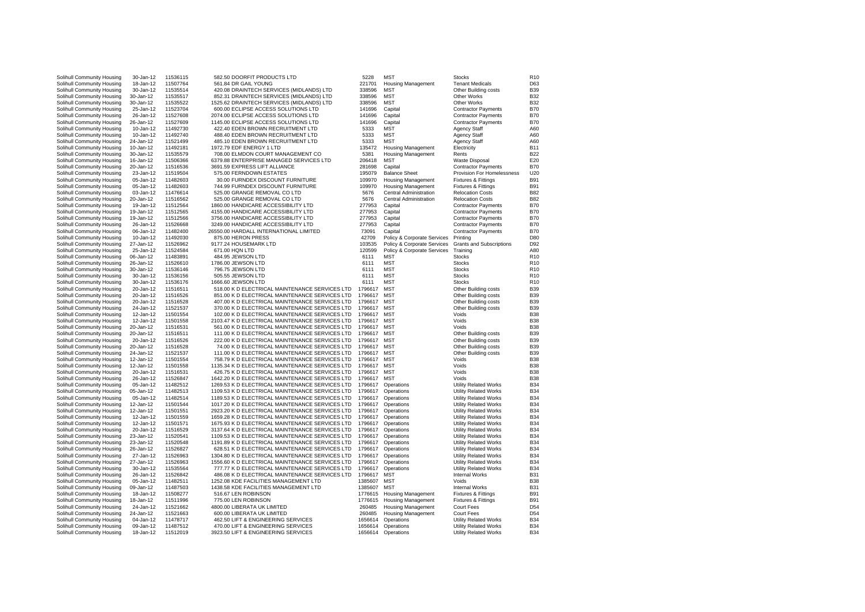| Solihull Community Housing | 30-Jan-12 | 11536115 | 582.50 DOORFIT PRODUCTS LTD                     | 5228    | <b>MST</b>                  | <b>Stocks</b>                   | R <sub>10</sub> |
|----------------------------|-----------|----------|-------------------------------------------------|---------|-----------------------------|---------------------------------|-----------------|
|                            |           |          |                                                 |         |                             |                                 |                 |
| Solihull Community Housing | 18-Jan-12 | 11507764 | 561.84 DR GAIL YOUNG                            | 221701  | <b>Housing Management</b>   | <b>Tenant Medicals</b>          | D63             |
| Solihull Community Housing | 30-Jan-12 | 11535514 | 420.08 DRAINTECH SERVICES (MIDLANDS) LTD        | 338596  | <b>MST</b>                  | Other Building costs            | <b>B39</b>      |
| Solihull Community Housing | 30-Jan-12 | 11535517 | 852.31 DRAINTECH SERVICES (MIDLANDS) LTD        | 338596  | <b>MST</b>                  | Other Works                     | <b>B32</b>      |
|                            |           |          |                                                 |         |                             |                                 |                 |
| Solihull Community Housing | 30-Jan-12 | 11535522 | 1525.62 DRAINTECH SERVICES (MIDLANDS) LTD       | 338596  | <b>MST</b>                  | <b>Other Works</b>              | <b>B32</b>      |
| Solihull Community Housing | 25-Jan-12 | 11523704 | 600.00 ECLIPSE ACCESS SOLUTIONS LTD             | 141696  | Capital                     | <b>Contractor Payments</b>      | <b>B70</b>      |
| Solihull Community Housing | 26-Jan-12 | 11527608 | 2074.00 ECLIPSE ACCESS SOLUTIONS LTD            | 141696  | Capital                     | <b>Contractor Payments</b>      | <b>B70</b>      |
|                            |           |          |                                                 |         |                             |                                 |                 |
| Solihull Community Housing | 26-Jan-12 | 11527609 | 1145.00 ECLIPSE ACCESS SOLUTIONS LTD            | 141696  | Capital                     | <b>Contractor Payments</b>      | <b>B70</b>      |
| Solihull Community Housing | 10-Jan-12 | 11492730 | 422.40 EDEN BROWN RECRUITMENT LTD               | 5333    | <b>MST</b>                  | Agency Staff                    | A60             |
| Solihull Community Housing | 10-Jan-12 | 11492740 | 488.40 EDEN BROWN RECRUITMENT LTD               | 5333    | <b>MST</b>                  | Agency Staff                    | A60             |
|                            |           |          |                                                 |         |                             |                                 |                 |
| Solihull Community Housing | 24-Jan-12 | 11521499 | 485.10 EDEN BROWN RECRUITMENT LTD               | 5333    | <b>MST</b>                  | Agency Staff                    | A60             |
| Solihull Community Housing | 10-Jan-12 | 11492181 | 1972.79 EDF ENERGY 1 LTD                        | 135472  | <b>Housing Management</b>   | Electricity                     | <b>B11</b>      |
| Solihull Community Housing | 30-Jan-12 | 11535579 | 708.00 ELMDON COURT MANAGEMENT CO               | 5381    | <b>Housing Management</b>   | Rents                           | <b>B22</b>      |
|                            |           |          |                                                 |         |                             |                                 |                 |
| Solihull Community Housing | 16-Jan-12 | 11506366 | 6379.88 ENTERPRISE MANAGED SERVICES LTD         | 206418  | <b>MST</b>                  | <b>Waste Disposal</b>           | E20             |
| Solihull Community Housing | 20-Jan-12 | 11516536 | 3691.59 EXPRESS LIFT ALLIANCE                   | 281698  | Capital                     | <b>Contractor Payments</b>      | <b>B70</b>      |
| Solihull Community Housing | 23-Jan-12 | 11519504 | 575.00 FERNDOWN ESTATES                         | 195079  | <b>Balance Sheet</b>        | Provision For Homelessness      | U20             |
|                            |           |          |                                                 |         |                             |                                 |                 |
| Solihull Community Housing | 05-Jan-12 | 11482603 | 30.00 FURNDEX DISCOUNT FURNITURE                | 109970  | <b>Housing Management</b>   | Fixtures & Fittings             | <b>B91</b>      |
| Solihull Community Housing | 05-Jan-12 | 11482603 | 744.99 FURNDEX DISCOUNT FURNITURE               | 109970  | <b>Housing Management</b>   | Fixtures & Fittings             | <b>B91</b>      |
| Solihull Community Housing | 03-Jan-12 | 11476614 | 525.00 GRANGE REMOVAL CO LTD                    | 5676    | Central Administration      | <b>Relocation Costs</b>         | <b>B82</b>      |
|                            |           |          |                                                 |         |                             |                                 |                 |
| Solihull Community Housing | 20-Jan-12 | 11516562 | 525.00 GRANGE REMOVAL CO LTD                    | 5676    | Central Administration      | <b>Relocation Costs</b>         | <b>B82</b>      |
| Solihull Community Housing | 19-Jan-12 | 11512564 | 1860.00 HANDICARE ACCESSIBILITY LTD             | 277953  | Capital                     | <b>Contractor Payments</b>      | <b>B70</b>      |
| Solihull Community Housing | 19-Jan-12 | 11512565 | 4155.00 HANDICARE ACCESSIBILITY LTD             | 277953  | Capital                     | <b>Contractor Payments</b>      | <b>B70</b>      |
|                            |           |          |                                                 |         |                             |                                 |                 |
| Solihull Community Housing | 19-Jan-12 | 11512566 | 3756.00 HANDICARE ACCESSIBILITY LTD             | 277953  | Capital                     | <b>Contractor Payments</b>      | <b>B70</b>      |
| Solihull Community Housing | 26-Jan-12 | 11526668 | 3249.00 HANDICARE ACCESSIBILITY LTD             | 277953  | Capital                     | <b>Contractor Payments</b>      | <b>B70</b>      |
| Solihull Community Housing | 06-Jan-12 | 11482400 | 26550.00 HARDALL INTERNATIONAL LIMITED          | 73091   | Capital                     | <b>Contractor Payments</b>      | <b>B70</b>      |
|                            |           |          |                                                 |         |                             |                                 |                 |
| Solihull Community Housing | 10-Jan-12 | 11492030 | 875.00 HERON PRESS                              | 42709   | Policy & Corporate Services | Printing                        | D <sub>80</sub> |
| Solihull Community Housing | 27-Jan-12 | 11526962 | 9177.24 HOUSEMARK LTD                           | 103535  | Policy & Corporate Services | <b>Grants and Subscriptions</b> | D92             |
| Solihull Community Housing | 25-Jan-12 | 11524584 | 671.00 HQN LTD                                  | 120599  | Policy & Corporate Services | Training                        | A80             |
|                            |           |          |                                                 |         |                             |                                 |                 |
| Solihull Community Housing | 06-Jan-12 | 11483891 | 484.95 JEWSON LTD                               | 6111    | <b>MST</b>                  | <b>Stocks</b>                   | R <sub>10</sub> |
| Solihull Community Housing | 26-Jan-12 | 11526610 | 1786.00 JEWSON LTD                              | 6111    | <b>MST</b>                  | <b>Stocks</b>                   | R <sub>10</sub> |
| Solihull Community Housing | 30-Jan-12 | 11536146 | 796.75 JEWSON LTD                               | 6111    | <b>MST</b>                  | <b>Stocks</b>                   | R <sub>10</sub> |
|                            |           |          |                                                 |         |                             |                                 |                 |
| Solihull Community Housing | 30-Jan-12 | 11536156 | 505.55 JEWSON LTD                               | 6111    | <b>MST</b>                  | <b>Stocks</b>                   | R <sub>10</sub> |
| Solihull Community Housing | 30-Jan-12 | 11536176 | 1666.60 JEWSON LTD                              | 6111    | <b>MST</b>                  | <b>Stocks</b>                   | R <sub>10</sub> |
| Solihull Community Housing | 20-Jan-12 | 11516511 | 518.00 K D ELECTRICAL MAINTENANCE SERVICES LTD  | 1796617 | <b>MST</b>                  | Other Building costs            | <b>B39</b>      |
|                            |           |          |                                                 |         |                             |                                 |                 |
| Solihull Community Housing | 20-Jan-12 | 11516526 | 851.00 K D ELECTRICAL MAINTENANCE SERVICES LTD  | 1796617 | <b>MST</b>                  | Other Building costs            | <b>B39</b>      |
| Solihull Community Housing | 20-Jan-12 | 11516528 | 407.00 K D ELECTRICAL MAINTENANCE SERVICES LTD  | 1796617 | <b>MST</b>                  | Other Building costs            | <b>B39</b>      |
| Solihull Community Housing | 24-Jan-12 | 11521537 | 370.00 K D ELECTRICAL MAINTENANCE SERVICES LTD  | 1796617 | <b>MST</b>                  | Other Building costs            | <b>B39</b>      |
|                            |           |          |                                                 |         |                             |                                 |                 |
| Solihull Community Housing | 12-Jan-12 | 11501554 | 102.00 K D ELECTRICAL MAINTENANCE SERVICES LTD  | 1796617 | <b>MST</b>                  | Voids                           | <b>B38</b>      |
| Solihull Community Housing | 12-Jan-12 | 11501558 | 2103.47 K D ELECTRICAL MAINTENANCE SERVICES LTD | 1796617 | <b>MST</b>                  | Voids                           | <b>B38</b>      |
| Solihull Community Housing | 20-Jan-12 | 11516531 | 561.00 K D ELECTRICAL MAINTENANCE SERVICES LTD  | 1796617 | <b>MST</b>                  | Voids                           | <b>B38</b>      |
|                            |           |          |                                                 |         |                             |                                 |                 |
| Solihull Community Housing | 20-Jan-12 | 11516511 | 111.00 K D ELECTRICAL MAINTENANCE SERVICES LTD  | 1796617 | <b>MST</b>                  | Other Building costs            | <b>B39</b>      |
| Solihull Community Housing | 20-Jan-12 | 11516526 | 222.00 K D ELECTRICAL MAINTENANCE SERVICES LTD  | 1796617 | <b>MST</b>                  | Other Building costs            | <b>B39</b>      |
| Solihull Community Housing | 20-Jan-12 | 11516528 | 74.00 K D ELECTRICAL MAINTENANCE SERVICES LTD   | 1796617 | <b>MST</b>                  | Other Building costs            | <b>B39</b>      |
|                            |           |          |                                                 |         |                             |                                 |                 |
| Solihull Community Housing | 24-Jan-12 | 11521537 | 111.00 K D ELECTRICAL MAINTENANCE SERVICES LTD  | 1796617 | <b>MST</b>                  | Other Building costs            | <b>B39</b>      |
| Solihull Community Housing | 12-Jan-12 | 11501554 | 758.79 K D ELECTRICAL MAINTENANCE SERVICES LTD  | 1796617 | <b>MST</b>                  | Voids                           | <b>B38</b>      |
| Solihull Community Housing | 12-Jan-12 | 11501558 | 1135.34 K D ELECTRICAL MAINTENANCE SERVICES LTD | 1796617 | <b>MST</b>                  | Voids                           | <b>B38</b>      |
|                            |           |          |                                                 |         | <b>MST</b>                  | Voids                           | <b>B38</b>      |
| Solihull Community Housing | 20-Jan-12 | 11516531 | 426.75 K D ELECTRICAL MAINTENANCE SERVICES LTD  | 1796617 |                             |                                 |                 |
| Solihull Community Housing | 26-Jan-12 | 11526847 | 1642.20 K D ELECTRICAL MAINTENANCE SERVICES LTD | 1796617 | <b>MST</b>                  | Voids                           | <b>B38</b>      |
| Solihull Community Housing | 05-Jan-12 | 11482512 | 1269.53 K D ELECTRICAL MAINTENANCE SERVICES LTD | 1796617 | Operations                  | <b>Utility Related Works</b>    | <b>B34</b>      |
| Solihull Community Housing | 05-Jan-12 | 11482513 | 1109.53 K D ELECTRICAL MAINTENANCE SERVICES LTD | 1796617 | Operations                  | <b>Utility Related Works</b>    | <b>B34</b>      |
|                            |           |          |                                                 |         |                             |                                 |                 |
| Solihull Community Housing | 05-Jan-12 | 11482514 | 1189.53 K D ELECTRICAL MAINTENANCE SERVICES LTD | 1796617 | Operations                  | <b>Utility Related Works</b>    | <b>B34</b>      |
| Solihull Community Housing | 12-Jan-12 | 11501544 | 1017.20 K D ELECTRICAL MAINTENANCE SERVICES LTD | 1796617 | Operations                  | <b>Utility Related Works</b>    | <b>B34</b>      |
| Solihull Community Housing | 12-Jan-12 | 11501551 | 2923.20 K D ELECTRICAL MAINTENANCE SERVICES LTD | 1796617 | Operations                  | <b>Utility Related Works</b>    | <b>B34</b>      |
|                            |           |          |                                                 |         |                             |                                 |                 |
| Solihull Community Housing | 12-Jan-12 | 11501559 | 1659.28 K D ELECTRICAL MAINTENANCE SERVICES LTD | 1796617 | Operations                  | <b>Utility Related Works</b>    | <b>B34</b>      |
| Solihull Community Housing | 12-Jan-12 | 11501571 | 1675.93 K D ELECTRICAL MAINTENANCE SERVICES LTD | 1796617 | Operations                  | <b>Utility Related Works</b>    | <b>B34</b>      |
| Solihull Community Housing | 20-Jan-12 | 11516529 | 3137.64 K D ELECTRICAL MAINTENANCE SERVICES LTD | 1796617 | Operations                  | Utility Related Works           | <b>B34</b>      |
|                            |           |          |                                                 |         |                             |                                 | <b>B34</b>      |
| Solihull Community Housing | 23-Jan-12 | 11520541 | 1109.53 K D ELECTRICAL MAINTENANCE SERVICES LTD | 1796617 | Operations                  | <b>Utility Related Works</b>    |                 |
| Solihull Community Housing | 23-Jan-12 | 11520548 | 1191.89 K D ELECTRICAL MAINTENANCE SERVICES LTD | 1796617 | Operations                  | <b>Utility Related Works</b>    | <b>B34</b>      |
| Solihull Community Housing | 26-Jan-12 | 11526827 | 628.51 K D ELECTRICAL MAINTENANCE SERVICES LTD  | 1796617 | Operations                  | <b>Utility Related Works</b>    | <b>B34</b>      |
| Solihull Community Housing | 27-Jan-12 | 11526963 | 1304.80 K D ELECTRICAL MAINTENANCE SERVICES LTD | 1796617 | Operations                  | <b>Utility Related Works</b>    | <b>B34</b>      |
|                            |           |          |                                                 |         |                             |                                 | <b>B34</b>      |
| Solihull Community Housing | 27-Jan-12 | 11526963 | 1556.60 K D ELECTRICAL MAINTENANCE SERVICES LTD | 1796617 | Operations                  | <b>Utility Related Works</b>    |                 |
| Solihull Community Housing | 30-Jan-12 | 11535564 | 777.77 K D ELECTRICAL MAINTENANCE SERVICES LTD  | 1796617 | Operations                  | <b>Utility Related Works</b>    | <b>B34</b>      |
| Solihull Community Housing | 26-Jan-12 | 11526842 | 486.08 K D ELECTRICAL MAINTENANCE SERVICES LTD  | 1796617 | <b>MST</b>                  | <b>Internal Works</b>           | <b>B31</b>      |
|                            |           |          |                                                 |         | <b>MST</b>                  | Voids                           | <b>B38</b>      |
| Solihull Community Housing | 05-Jan-12 | 11482511 | 1252.08 KDE FACILITIES MANAGEMENT LTD           | 1385607 |                             |                                 |                 |
| Solihull Community Housing | 09-Jan-12 | 11487503 | 1438.58 KDE FACILITIES MANAGEMENT LTD           | 1385607 | <b>MST</b>                  | <b>Internal Works</b>           | <b>B31</b>      |
| Solihull Community Housing | 18-Jan-12 | 11508277 | 516.67 LEN ROBINSON                             | 1776615 | <b>Housing Management</b>   | Fixtures & Fittings             | <b>B91</b>      |
| Solihull Community Housing |           |          | 775.00 LEN ROBINSON                             |         |                             |                                 | <b>B91</b>      |
|                            | 18-Jan-12 | 11511996 |                                                 | 1776615 | <b>Housing Management</b>   | Fixtures & Fittings             |                 |
|                            | 24-Jan-12 | 11521662 | 4800.00 LIBERATA UK LIMITED                     | 260485  | <b>Housing Management</b>   | Court Fees                      | D <sub>54</sub> |
| Solihull Community Housing |           |          |                                                 |         |                             |                                 |                 |
|                            |           |          |                                                 |         |                             |                                 |                 |
| Solihull Community Housing | 24-Jan-12 | 11521663 | 600.00 LIBERATA UK LIMITED                      | 260485  | <b>Housing Management</b>   | <b>Court Fees</b>               | D <sub>54</sub> |
| Solihull Community Housing | 04-Jan-12 | 11478717 | 462.50 LIFT & ENGINEERING SERVICES              | 1656614 | Operations                  | <b>Utility Related Works</b>    | <b>B34</b>      |
| Solihull Community Housing | 09-Jan-12 | 11487512 | 470.00 LIFT & ENGINEERING SERVICES              | 1656614 | Operations                  | <b>Utility Related Works</b>    | <b>B34</b>      |
| Solihull Community Housing | 18-Jan-12 | 11512019 | 3923.50 LIFT & ENGINEERING SERVICES             | 1656614 | Operations                  | <b>Utility Related Works</b>    | <b>B34</b>      |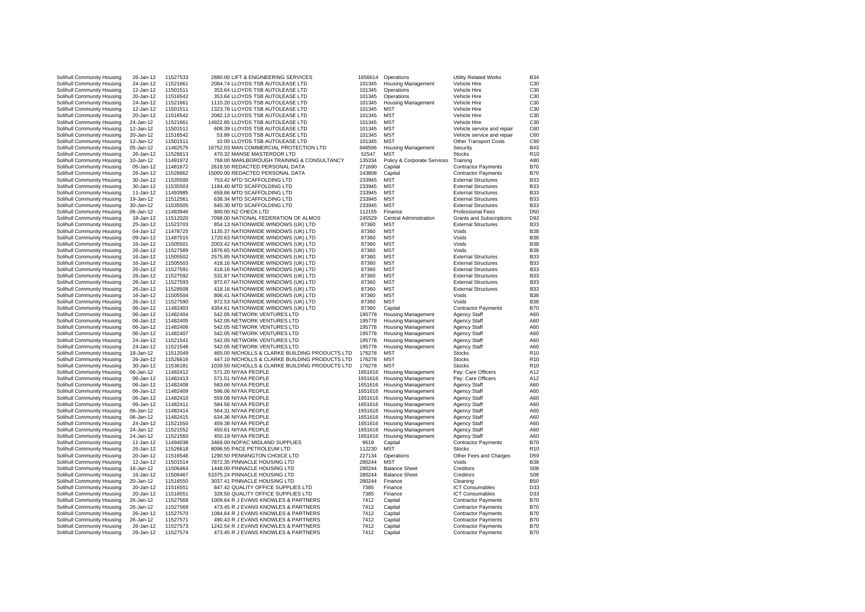| Solihull Community Housing | 26-Jan-12 | 11527533 | 2880.00 LIFT & ENGINEERING SERVICES             | 1656614 | Operations                  | <b>Utility Related Works</b>    | <b>B34</b>      |
|----------------------------|-----------|----------|-------------------------------------------------|---------|-----------------------------|---------------------------------|-----------------|
| Solihull Community Housing | 24-Jan-12 | 11521661 | 2084.74 LLOYDS TSB AUTOLEASE LTD                | 101345  | <b>Housing Management</b>   | Vehicle Hire                    | C30             |
|                            |           |          |                                                 |         |                             |                                 |                 |
| Solihull Community Housing | 12-Jan-12 | 11501511 | 353.64 LLOYDS TSB AUTOLEASE LTD                 | 101345  | Operations                  | Vehicle Hire                    | C <sub>30</sub> |
| Solihull Community Housing | 20-Jan-12 | 11516542 | 353.64 LLOYDS TSB AUTOLEASE LTD                 | 101345  | Operations                  | Vehicle Hire                    | C30             |
| Solihull Community Housing | 24-Jan-12 | 11521661 | 1110.20 LLOYDS TSB AUTOLEASE LTD                | 101345  | <b>Housing Management</b>   | Vehicle Hire                    | C30             |
| Solihull Community Housing | 12-Jan-12 | 11501511 | 1323.78 LLOYDS TSB AUTOLEASE LTD                | 101345  | <b>MST</b>                  | Vehicle Hire                    | C30             |
|                            |           |          |                                                 |         |                             |                                 |                 |
| Solihull Community Housing | 20-Jan-12 | 11516542 | 2082.13 LLOYDS TSB AUTOLEASE LTD                | 101345  | <b>MST</b>                  | Vehicle Hire                    | C30             |
| Solihull Community Housing | 24-Jan-12 | 11521661 | 14922.85 LLOYDS TSB AUTOLEASE LTD               | 101345  | <b>MST</b>                  | Vehicle Hire                    | C30             |
| Solihull Community Housing | 12-Jan-12 | 11501511 | 608.39 LLOYDS TSB AUTOLEASE LTD                 | 101345  | <b>MST</b>                  | Vehicle service and repair      | C60             |
| Solihull Community Housing | 20-Jan-12 | 11516542 | 53.99 LLOYDS TSB AUTOLEASE LTD                  | 101345  | <b>MST</b>                  |                                 | C60             |
|                            |           |          |                                                 |         |                             | Vehicle service and repair      |                 |
| Solihull Community Housing | 12-Jan-12 | 11501511 | 10.00 LLOYDS TSB AUTOLEASE LTD                  | 101345  | <b>MST</b>                  | <b>Other Transport Costs</b>    | C90             |
| Solihull Community Housing | 05-Jan-12 | 11482575 | 16752.03 MAN COMMERCIAL PROTECTION LTD          | 946596  | <b>Housing Management</b>   | Security                        | <b>B43</b>      |
| Solihull Community Housing | 26-Jan-12 | 11526613 | 470.32 MANSE MASTERDOR LTD                      | 52547   | <b>MST</b>                  | <b>Stocks</b>                   | <b>R10</b>      |
| Solihull Community Housing | 10-Jan-12 | 11491972 | 768.00 MARLBOROUGH TRAINING & CONSULTANCY       | 135334  | Policy & Corporate Services | Training                        | A80             |
|                            |           |          |                                                 |         |                             |                                 |                 |
| Solihull Community Housing | 05-Jan-12 | 11481672 | 2618.50 REDACTED PERSONAL DATA                  | 271690  | Capital                     | <b>Contractor Payments</b>      | <b>B70</b>      |
| Solihull Community Housing | 26-Jan-12 | 11526662 | 15000.00 REDACTED PERSONAL DATA                 | 143808  | Capital                     | <b>Contractor Payments</b>      | <b>B70</b>      |
| Solihull Community Housing | 30-Jan-12 | 11535500 | 753.42 MTD SCAFFOLDING LTD                      | 233945  | <b>MST</b>                  | <b>External Structures</b>      | <b>B33</b>      |
|                            |           | 11535503 | 1184.40 MTD SCAFFOLDING LTD                     | 233945  | <b>MST</b>                  | <b>External Structures</b>      | <b>B33</b>      |
| Solihull Community Housing | 30-Jan-12 |          |                                                 |         |                             |                                 |                 |
| Solihull Community Housing | 11-Jan-12 | 11493985 | 659.86 MTD SCAFFOLDING LTD                      | 233945  | <b>MST</b>                  | <b>External Structures</b>      | <b>B33</b>      |
| Solihull Community Housing | 19-Jan-12 | 11512561 | 638.34 MTD SCAFFOLDING LTD                      | 233945  | <b>MST</b>                  | <b>External Structures</b>      | <b>B33</b>      |
| Solihull Community Housing | 30-Jan-12 | 11535505 | 640.30 MTD SCAFFOLDING LTD                      | 233945  | <b>MST</b>                  | <b>External Structures</b>      | <b>B33</b>      |
| Solihull Community Housing | 06-Jan-12 | 11483946 | 800.00 N2 CHECK LTD                             | 112155  | Finance                     | <b>Professional Fees</b>        | D <sub>50</sub> |
|                            |           |          |                                                 |         |                             |                                 |                 |
| Solihull Community Housing | 18-Jan-12 | 11512020 | 7098.00 NATIONAL FEDERATION OF ALMOS            | 245529  | Central Administration      | <b>Grants and Subscriptions</b> | D92             |
| Solihull Community Housing | 25-Jan-12 | 11523703 | 854.13 NATIONWIDE WINDOWS (UK) LTD              | 87360   | <b>MST</b>                  | <b>External Structures</b>      | <b>B33</b>      |
| Solihull Community Housing | 04-Jan-12 | 11478725 | 1135.37 NATIONWIDE WINDOWS (UK) LTD             | 87360   | <b>MST</b>                  | Voids                           | <b>B38</b>      |
| Solihull Community Housing | 09-Jan-12 | 11487515 | 1720.63 NATIONWIDE WINDOWS (UK) LTD             | 87360   | <b>MST</b>                  | Voids                           | <b>B38</b>      |
|                            |           |          |                                                 |         |                             |                                 |                 |
| Solihull Community Housing | 16-Jan-12 | 11505501 | 2003.42 NATIONWIDE WINDOWS (UK) LTD             | 87360   | <b>MST</b>                  | Voids                           | <b>B38</b>      |
| Solihull Community Housing | 26-Jan-12 | 11527589 | 1876.65 NATIONWIDE WINDOWS (UK) LTD             | 87360   | <b>MST</b>                  | Voids                           | <b>B38</b>      |
| Solihull Community Housing | 16-Jan-12 | 11505502 | 2575.85 NATIONWIDE WINDOWS (UK) LTD             | 87360   | <b>MST</b>                  | <b>External Structures</b>      | <b>B33</b>      |
| Solihull Community Housing | 16-Jan-12 | 11505503 | 418.16 NATIONWIDE WINDOWS (UK) LTD              | 87360   | <b>MST</b>                  | <b>External Structures</b>      | <b>B33</b>      |
|                            |           |          |                                                 |         |                             |                                 |                 |
| Solihull Community Housing | 26-Jan-12 | 11527591 | 418.16 NATIONWIDE WINDOWS (UK) LTD              | 87360   | <b>MST</b>                  | <b>External Structures</b>      | <b>B33</b>      |
| Solihull Community Housing | 26-Jan-12 | 11527592 | 531.87 NATIONWIDE WINDOWS (UK) LTD              | 87360   | <b>MST</b>                  | <b>External Structures</b>      | <b>B33</b>      |
| Solihull Community Housing | 26-Jan-12 | 11527593 | 972.67 NATIONWIDE WINDOWS (UK) LTD              | 87360   | <b>MST</b>                  | <b>External Structures</b>      | <b>B33</b>      |
| Solihull Community Housing | 26-Jan-12 | 11528508 | 418.16 NATIONWIDE WINDOWS (UK) LTD              | 87360   | <b>MST</b>                  | <b>External Structures</b>      | <b>B33</b>      |
|                            |           |          |                                                 |         | <b>MST</b>                  |                                 |                 |
| Solihull Community Housing | 16-Jan-12 | 11505504 | 806.41 NATIONWIDE WINDOWS (UK) LTD              | 87360   |                             | Voids                           | <b>B38</b>      |
| Solihull Community Housing | 26-Jan-12 | 11527590 | 972.53 NATIONWIDE WINDOWS (UK) LTD              | 87360   | <b>MST</b>                  | Voids                           | <b>B38</b>      |
| Solihull Community Housing | 06-Jan-12 | 11482403 | 4354.61 NATIONWIDE WINDOWS (UK) LTD             | 87360   | Capital                     | <b>Contractor Payments</b>      | <b>B70</b>      |
| Solihull Community Housing | 06-Jan-12 | 11482404 | 542.05 NETWORK VENTURES LTD                     | 195778  | <b>Housing Management</b>   | <b>Agency Staff</b>             | A60             |
| Solihull Community Housing | 06-Jan-12 | 11482405 | 542.05 NETWORK VENTURES LTD                     | 195778  | <b>Housing Management</b>   | <b>Agency Staff</b>             | A60             |
|                            |           |          |                                                 |         |                             |                                 |                 |
| Solihull Community Housing | 06-Jan-12 | 11482406 | 542.05 NETWORK VENTURES LTD                     | 195778  | <b>Housing Management</b>   | <b>Agency Staff</b>             | A60             |
| Solihull Community Housing | 06-Jan-12 | 11482407 | 542.05 NETWORK VENTURES LTD                     | 195778  | <b>Housing Management</b>   | <b>Agency Staff</b>             | A60             |
| Solihull Community Housing | 24-Jan-12 | 11521541 | 542.05 NETWORK VENTURES LTD                     | 195778  | <b>Housing Management</b>   | <b>Agency Staff</b>             | A60             |
| Solihull Community Housing | 24-Jan-12 | 11521548 | 542.05 NETWORK VENTURES LTD                     | 195778  | <b>Housing Management</b>   | <b>Agency Staff</b>             | A60             |
|                            |           |          |                                                 | 176278  |                             |                                 | R <sub>10</sub> |
| Solihull Community Housing | 18-Jan-12 | 11512049 | 465.00 NICHOLLS & CLARKE BUILDING PRODUCTS LTD  |         | <b>MST</b>                  | Stocks                          |                 |
| Solihull Community Housing | 26-Jan-12 | 11526616 | 447.10 NICHOLLS & CLARKE BUILDING PRODUCTS LTD  | 176278  | <b>MST</b>                  | <b>Stocks</b>                   | R <sub>10</sub> |
| Solihull Community Housing | 30-Jan-12 | 11536181 | 1039.50 NICHOLLS & CLARKE BUILDING PRODUCTS LTD | 176278  | <b>MST</b>                  | <b>Stocks</b>                   | R <sub>10</sub> |
| Solihull Community Housing | 06-Jan-12 | 11482412 | 571.20 NIYAA PEOPLE                             | 1651616 | <b>Housing Management</b>   | Pay: Care Officers              | A12             |
| Solihull Community Housing | 06-Jan-12 | 11482413 | 571.51 NIYAA PEOPLE                             | 1651616 | <b>Housing Management</b>   | Pay: Care Officers              | A12             |
|                            |           |          |                                                 |         |                             |                                 |                 |
| Solihull Community Housing | 06-Jan-12 | 11482408 | 583.66 NIYAA PEOPLE                             | 1651616 | <b>Housing Management</b>   | <b>Agency Staff</b>             | A60             |
| Solihull Community Housing | 06-Jan-12 | 11482409 | 596.06 NIYAA PEOPLE                             | 1651616 | <b>Housing Management</b>   | <b>Agency Staff</b>             | A60             |
| Solihull Community Housing | 06-Jan-12 | 11482410 | 559.08 NIYAA PEOPLE                             | 1651616 | <b>Housing Management</b>   | <b>Agency Staff</b>             | A60             |
| Solihull Community Housing | 06-Jan-12 | 11482411 | 584.56 NIYAA PEOPLE                             | 1651616 | <b>Housing Management</b>   | <b>Agency Staff</b>             | A60             |
|                            | 06-Jan-12 | 11482414 | 564.31 NIYAA PEOPLE                             | 1651616 |                             | <b>Agency Staff</b>             | A60             |
| Solihull Community Housing |           |          |                                                 |         | <b>Housing Management</b>   |                                 |                 |
| Solihull Community Housing | 06-Jan-12 | 11482415 | 634.36 NIYAA PEOPLE                             | 1651616 | <b>Housing Management</b>   | <b>Agency Staff</b>             | A60             |
| Solihull Community Housing | 24-Jan-12 | 11521550 | 459.38 NIYAA PEOPLE                             | 1651616 | <b>Housing Management</b>   | <b>Agency Staff</b>             | A60             |
| Solihull Community Housing | 24-Jan-12 | 11521552 | 450.61 NIYAA PEOPLE                             | 1651616 | <b>Housing Management</b>   | <b>Agency Staff</b>             | A60             |
| Solihull Community Housing | 24-Jan-12 | 11521560 | 450.19 NIYAA PEOPLE                             | 1651616 | <b>Housing Management</b>   | Agency Staff                    | A60             |
|                            |           |          |                                                 |         |                             |                                 |                 |
| Solihull Community Housing | 11-Jan-12 | 11494038 | 3469.00 NOPAC MIDLAND SUPPLIES                  | 9619    | Capital                     | <b>Contractor Payments</b>      | <b>B70</b>      |
| Solihull Community Housing | 26-Jan-12 | 11526618 | 8096.55 PACE PETROLEUM LTD                      | 112230  | <b>MST</b>                  | Stocks                          | R <sub>10</sub> |
| Solihull Community Housing | 20-Jan-12 | 11516546 | 1290.50 PENNINGTON CHOICE LTD                   | 227134  | Operations                  | Other Fees and Charges          | D <sub>59</sub> |
| Solihull Community Housing | 12-Jan-12 | 11501514 | 7872.35 PINNACLE HOUSING LTD                    | 280244  | <b>MST</b>                  | Voids                           | <b>B38</b>      |
|                            |           |          |                                                 |         |                             |                                 |                 |
| Solihull Community Housing | 16-Jan-12 | 11506464 | 1448.00 PINNACLE HOUSING LTD                    | 280244  | <b>Balance Sheet</b>        | Creditors                       | S08             |
| Solihull Community Housing | 16-Jan-12 | 11506467 | 53375.24 PINNACLE HOUSING LTD                   | 280244  | <b>Balance Sheet</b>        | Creditors                       | S08             |
| Solihull Community Housing | 20-Jan-12 | 11516550 | 3037.41 PINNACLE HOUSING LTD                    | 280244  | Finance                     | Cleaning                        | <b>B50</b>      |
| Solihull Community Housing | 20-Jan-12 | 11516551 | 847.42 QUALITY OFFICE SUPPLIES LTD              | 7385    | Finance                     | <b>ICT Consumables</b>          | D33             |
|                            |           | 11516551 | 328.50 QUALITY OFFICE SUPPLIES LTD              | 7385    |                             |                                 | D33             |
| Solihull Community Housing | 20-Jan-12 |          |                                                 |         | Finance                     | <b>ICT Consumables</b>          |                 |
| Solihull Community Housing | 26-Jan-12 | 11527568 | 1009.64 R J EVANS KNOWLES & PARTNERS            | 7412    | Capital                     | <b>Contractor Payments</b>      | <b>B70</b>      |
| Solihull Community Housing | 26-Jan-12 | 11527569 | 473.45 R J EVANS KNOWLES & PARTNERS             | 7412    | Capital                     | <b>Contractor Payments</b>      | <b>B70</b>      |
| Solihull Community Housing | 26-Jan-12 | 11527570 | 1084.64 R J EVANS KNOWLES & PARTNERS            | 7412    | Capital                     | <b>Contractor Payments</b>      | <b>B70</b>      |
| Solihull Community Housing | 26-Jan-12 | 11527571 | 490.43 R J EVANS KNOWLES & PARTNERS             | 7412    | Capital                     | <b>Contractor Payments</b>      | <b>B70</b>      |
|                            |           |          |                                                 |         |                             |                                 |                 |
| Solihull Community Housing | 26-Jan-12 | 11527573 | 1242.54 R J EVANS KNOWLES & PARTNERS            | 7412    | Capital                     | <b>Contractor Payments</b>      | <b>B70</b>      |
| Solihull Community Housing | 26-Jan-12 | 11527574 | 473.45 R J EVANS KNOWLES & PARTNERS             | 7412    | Capital                     | <b>Contractor Payments</b>      | <b>B70</b>      |
|                            |           |          |                                                 |         |                             |                                 |                 |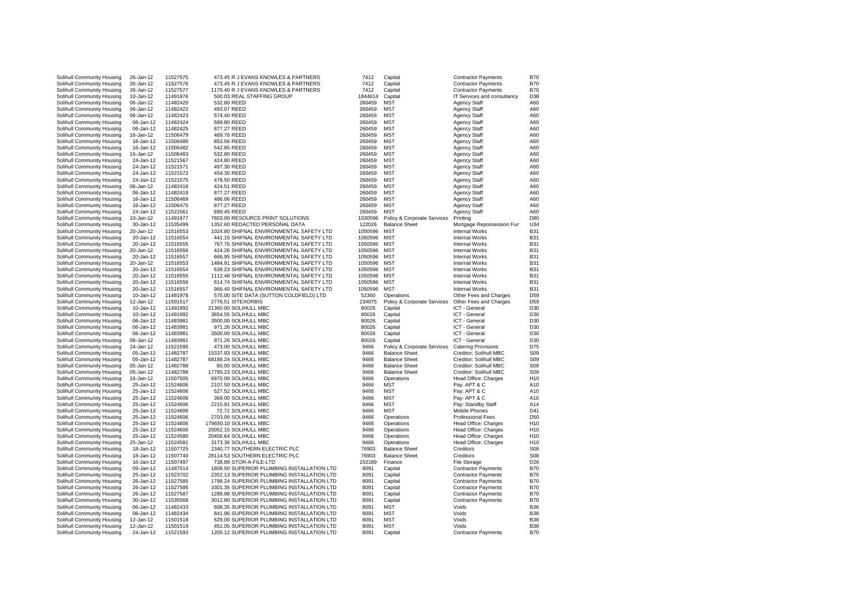| Solihull Community Housing                               | 26-Jan-12              |                      | 473.45 R J EVANS KNOWLES & PARTNERS                                                     | 7412         |                             |                                     | <b>B70</b>               |
|----------------------------------------------------------|------------------------|----------------------|-----------------------------------------------------------------------------------------|--------------|-----------------------------|-------------------------------------|--------------------------|
|                                                          |                        | 11527575             |                                                                                         |              | Capital                     | <b>Contractor Payments</b>          |                          |
| Solihull Community Housing                               | 26-Jan-12              | 11527576             | 473.45 R J EVANS KNOWLES & PARTNERS                                                     | 7412         | Capital                     | <b>Contractor Payments</b>          | <b>B70</b>               |
| Solihull Community Housing                               | 26-Jan-12              | 11527577             | 1179.40 R J EVANS KNOWLES & PARTNERS                                                    | 7412         | Capital                     | <b>Contractor Payments</b>          | <b>B70</b>               |
| Solihull Community Housing                               | 10-Jan-12              | 11491976             | 500.03 REAL STAFFING GROUP                                                              | 1844614      | Capital                     | IT Services and consultancy         | D38                      |
|                                                          |                        |                      |                                                                                         |              |                             |                                     |                          |
| Solihull Community Housing                               | 06-Jan-12              | 11482420             | 532.80 REED                                                                             | 260459       | MST                         | <b>Agency Staff</b>                 | A60                      |
| Solihull Community Housing                               | 06-Jan-12              | 11482422             | 493.07 REED                                                                             | 260459       | <b>MST</b>                  | <b>Agency Staff</b>                 | A60                      |
| Solihull Community Housing                               | 06-Jan-12              | 11482423             | 574.40 REED                                                                             | 260459       | MST                         | <b>Agency Staff</b>                 | A60                      |
|                                                          |                        |                      |                                                                                         |              |                             |                                     |                          |
| Solihull Community Housing                               | 06-Jan-12              | 11482424             | 569.80 REED                                                                             | 260459       | <b>MST</b>                  | <b>Agency Staff</b>                 | A60                      |
| Solihull Community Housing                               | 06-Jan-12              | 11482425             | 877.27 REED                                                                             | 260459       | <b>MST</b>                  | Agency Staff                        | A60                      |
| Solihull Community Housing                               | 16-Jan-12              | 11506479             | 469.76 REED                                                                             | 260459       | <b>MST</b>                  | Agency Staff                        | A60                      |
|                                                          |                        |                      |                                                                                         |              |                             |                                     |                          |
| Solihull Community Housing                               | 16-Jan-12              | 11506480             | 853.56 REED                                                                             | 260459       | <b>MST</b>                  | <b>Agency Staff</b>                 | A60                      |
| Solihull Community Housing                               | 16-Jan-12              | 11506482             | 542.85 REED                                                                             | 260459       | <b>MST</b>                  | <b>Agency Staff</b>                 | A60                      |
| Solihull Community Housing                               | 16-Jan-12              | 11506483             | 532.80 REED                                                                             | 260459       | <b>MST</b>                  | <b>Agency Staff</b>                 | A60                      |
|                                                          |                        |                      |                                                                                         |              |                             |                                     |                          |
| Solihull Community Housing                               | 24-Jan-12              | 11521567             | 424.80 REED                                                                             | 260459       | <b>MST</b>                  | Agency Staff                        | A60                      |
| Solihull Community Housing                               | 24-Jan-12              | 11521571             | 497.30 REED                                                                             | 260459       | <b>MST</b>                  | Agency Staff                        | A60                      |
| Solihull Community Housing                               | 24-Jan-12              | 11521572             | 454.30 REED                                                                             | 260459       | <b>MST</b>                  | Agency Staff                        | A60                      |
| Solihull Community Housing                               | 24-Jan-12              | 11521575             | 478.50 REED                                                                             | 260459       | <b>MST</b>                  | Agency Staff                        | A60                      |
|                                                          |                        |                      |                                                                                         |              |                             |                                     |                          |
| Solihull Community Housing                               | 06-Jan-12              | 11482418             | 424.51 REED                                                                             | 260459       | <b>MST</b>                  | <b>Agency Staff</b>                 | A60                      |
| Solihull Community Housing                               | 06-Jan-12              | 11482419             | 877.27 REED                                                                             | 260459       | <b>MST</b>                  | <b>Agency Staff</b>                 | A60                      |
| Solihull Community Housing                               | 16-Jan-12              | 11506469             | 486.06 REED                                                                             | 260459       | <b>MST</b>                  | <b>Agency Staff</b>                 | A60                      |
|                                                          |                        |                      |                                                                                         |              |                             |                                     |                          |
| Solihull Community Housing                               | 16-Jan-12              | 11506475             | 877.27 REED                                                                             | 260459       | <b>MST</b>                  | <b>Agency Staff</b>                 | A60                      |
| Solihull Community Housing                               | 24-Jan-12              | 11521561             | 699.45 REED                                                                             | 260459       | <b>MST</b>                  | Agency Staff                        | A60                      |
| Solihull Community Housing                               | 10-Jan-12              | 11491977             | 7803.00 RESOURCE PRINT SOLUTIONS                                                        | 1030596      | Policy & Corporate Services | Printing                            | D80                      |
| Solihull Community Housing                               | 30-Jan-12              | 11535499             | 1352.60 REDACTED PERSONAL DATA                                                          | 122026       | <b>Balance Sheet</b>        |                                     | U34                      |
|                                                          |                        |                      |                                                                                         |              |                             | Mortgage Repossession Fur           |                          |
| Solihull Community Housing                               | 20-Jan-12              | 11516553             | 1024.80 SHIFNAL ENVIRONMENTAL SAFETY LTD                                                | 1050596      | <b>MST</b>                  | <b>Internal Works</b>               | <b>B31</b>               |
| Solihull Community Housing                               | 20-Jan-12              | 11516554             | 441.15 SHIFNAL ENVIRONMENTAL SAFETY LTD                                                 | 1050596      | <b>MST</b>                  | Internal Works                      | <b>B31</b>               |
| Solihull Community Housing                               | 20-Jan-12              | 11516555             | 767.76 SHIFNAL ENVIRONMENTAL SAFETY LTD                                                 | 1050596      | <b>MST</b>                  | Internal Works                      | B <sub>3</sub>           |
|                                                          |                        |                      |                                                                                         |              |                             |                                     |                          |
| Solihull Community Housing                               | 20-Jan-12              | 11516556             | 424.26 SHIFNAL ENVIRONMENTAL SAFETY LTD                                                 | 1050596      | <b>MST</b>                  | Internal Works                      | <b>B31</b>               |
| Solihull Community Housing                               | 20-Jan-12              | 11516557             | 666.95 SHIFNAL ENVIRONMENTAL SAFETY LTD                                                 | 1050596      | <b>MST</b>                  | Internal Works                      | <b>B31</b>               |
| Solihull Community Housing                               | 20-Jan-12              | 11516553             | 1484.91 SHIFNAL ENVIRONMENTAL SAFETY LTD                                                | 1050596      | <b>MST</b>                  | Internal Works                      | <b>B31</b>               |
|                                                          |                        |                      |                                                                                         |              | <b>MST</b>                  |                                     | <b>B31</b>               |
| Solihull Community Housing                               | 20-Jan-12              | 11516554             | 639.23 SHIFNAL ENVIRONMENTAL SAFETY LTD                                                 | 1050596      |                             | <b>Internal Works</b>               |                          |
| Solihull Community Housing                               | 20-Jan-12              | 11516555             | 1112.48 SHIFNAL ENVIRONMENTAL SAFETY LTD                                                | 1050596      | <b>MST</b>                  | Internal Works                      | <b>B31</b>               |
| Solihull Community Housing                               | 20-Jan-12              | 11516556             | 614.74 SHIFNAL ENVIRONMENTAL SAFETY LTD                                                 | 1050596      | <b>MST</b>                  | Internal Works                      | B <sub>3</sub>           |
| Solihull Community Housing                               | 20-Jan-12              | 11516557             | 966.40 SHIFNAL ENVIRONMENTAL SAFETY LTD                                                 | 1050596      | <b>MST</b>                  | Internal Works                      | <b>B31</b>               |
|                                                          |                        |                      | 575.00 SITE DATA (SUTTON COLDFIELD) LTD                                                 |              |                             |                                     |                          |
| Solihull Community Housing                               | 10-Jan-12              | 11491978             |                                                                                         | 52360        | Operations                  | Other Fees and Charges              | D <sub>59</sub>          |
|                                                          |                        |                      |                                                                                         |              |                             |                                     |                          |
| Solihull Community Housing                               | 12-Jan-12              | 11501517             | 2776.51 SITEXORBIS                                                                      | 234075       | Policy & Corporate Services | Other Fees and Charges              | D <sub>59</sub>          |
|                                                          |                        | 11491992             |                                                                                         | 80026        | Capital                     | ICT - General                       | D <sub>30</sub>          |
| Solihull Community Housing                               | 10-Jan-12              |                      | 21360.00 SOLIHULL MBC                                                                   |              |                             |                                     |                          |
| Solihull Community Housing                               | 10-Jan-12              | 11491992             | 3654.55 SOLIHULL MBC                                                                    | 80026        | Capital                     | ICT - General                       | D <sub>30</sub>          |
| Solihull Community Housing                               | 06-Jan-12              | 11483981             | 3500.00 SOLIHULL MBC                                                                    | 80026        | Capital                     | ICT - General                       | D <sub>30</sub>          |
| Solihull Community Housing                               | 06-Jan-12              | 11483981             | 971.26 SOLIHULL MBC                                                                     | 80026        | Capital                     | ICT - General                       | D <sub>30</sub>          |
|                                                          | 06-Jan-12              | 11483981             | 3500.00 SOLIHULL MBC                                                                    | 80026        | Capital                     | ICT - General                       | D <sub>30</sub>          |
| Solihull Community Housing                               |                        |                      |                                                                                         |              |                             |                                     |                          |
| Solihull Community Housing                               | 06-Jan-12              | 11483981             | 971.26 SOLIHULL MBC                                                                     | 80026        | Capital                     | ICT - General                       | D30                      |
| Solihull Community Housing                               | 24-Jan-12              | 11521595             | 473.00 SOLIHULL MBC                                                                     | 9466         | Policy & Corporate Services | <b>Catering Provisions</b>          | D75                      |
| Solihull Community Housing                               | 05-Jan-12              | 11482787             | 15337.93 SOLIHULL MBC                                                                   | 9466         | <b>Balance Sheet</b>        | Creditor: Solihull MBC              | S <sub>09</sub>          |
| Solihull Community Housing                               | 05-Jan-12              | 11482787             | 68188.24 SOLIHULL MBC                                                                   | 9466         | <b>Balance Sheet</b>        | Creditor: Solihull MBC              | S <sub>09</sub>          |
|                                                          |                        |                      |                                                                                         |              |                             |                                     |                          |
| Solihull Community Housing                               | 05-Jan-12              | 11482788             | 60.00 SOLIHULL MBC                                                                      | 9466         | <b>Balance Sheet</b>        | Creditor: Solihull MBC              | S <sub>09</sub>          |
| Solihull Community Housing                               | 05-Jan-12              | 11482788             | 17795.23 SOLIHULL MBC                                                                   | 9466         | <b>Balance Sheet</b>        | Creditor: Solihull MBC              | S <sub>09</sub>          |
| Solihull Community Housing                               | 16-Jan-12              | 11507505             | 6970.00 SOLIHULL MBC                                                                    | 9466         | Operations                  | Head Office: Charges                | H <sub>10</sub>          |
| Solihull Community Housing                               | 25-Jan-12              | 11524606             | 2107.50 SOLIHULL MBC                                                                    | 9466         | <b>MST</b>                  | Pay: APT & C                        | A10                      |
|                                                          |                        |                      |                                                                                         |              |                             |                                     |                          |
| Solihull Community Housing                               | 25-Jan-12              | 11524606             | 527.52 SOLIHULL MBC                                                                     | 9466         | <b>MST</b>                  | Pay: APT & C                        | A10                      |
| Solihull Community Housing                               | 25-Jan-12              | 11524606             | 369.00 SOLIHULL MBC                                                                     | 9466         | <b>MST</b>                  | Pay: APT & C                        | A10                      |
| Solihull Community Housing                               | 25-Jan-12              | 11524606             | 2215.91 SOLIHULL MBC                                                                    | 9466         | <b>MST</b>                  | Pay: Standby Staff                  | A14                      |
|                                                          |                        |                      |                                                                                         |              |                             |                                     |                          |
| Solihull Community Housing                               | 25-Jan-12              | 11524606             | 72.72 SOLIHULL MBC                                                                      | 9466         | <b>MST</b>                  | Mobile Phones                       | D41                      |
| Solihull Community Housing                               | 25-Jan-12              | 11524606             | 2703.00 SOLIHULL MBC                                                                    | 9466         | Operations                  | <b>Professional Fees</b>            | D <sub>50</sub>          |
| Solihull Community Housing                               | 25-Jan-12              | 11524606             | 179650.10 SOLIHULL MBC                                                                  | 9466         | Operations                  | Head Office: Charges                | H <sub>10</sub>          |
| Solihull Community Housing                               | 25-Jan-12              | 11524606             | 20052.15 SOLIHULL MBC                                                                   | 9466         | Operations                  | Head Office: Charges                | H <sub>10</sub>          |
|                                                          |                        |                      |                                                                                         |              |                             |                                     |                          |
| Solihull Community Housing                               | 25-Jan-12              | 11524580             | 20456.64 SOLIHULL MBC                                                                   | 9466         | Operations                  | Head Office: Charges                | H <sub>10</sub>          |
| Solihull Community Housing                               | 25-Jan-12              | 11524581             | 3173.36 SOLIHULL MBC                                                                    | 9466         | Operations                  | Head Office: Charges                | H <sub>10</sub>          |
| Solihull Community Housing                               | 18-Jan-12              | 11507725             | 2340.77 SOUTHERN ELECTRIC PLC                                                           | 76903        | <b>Balance Sheet</b>        | Creditors                           | S08                      |
| Solihull Community Housing                               | 18-Jan-12              | 11507740             | 28114.53 SOUTHERN ELECTRIC PLC                                                          | 76903        | <b>Balance Sheet</b>        | Creditors                           | S08                      |
| Solihull Community Housing                               | 16-Jan-12              | 11507497             | 738.89 STOR-A-FILE-LTD                                                                  | 152189       | Finance                     | <b>File Storage</b>                 | D26                      |
|                                                          |                        |                      |                                                                                         |              |                             |                                     |                          |
| Solihull Community Housing                               | 09-Jan-12              | 11487514             | 1809.50 SUPERIOR PLUMBING INSTALLATION LTD                                              | 8091         | Capital                     | <b>Contractor Payments</b>          | <b>B70</b>               |
| Solihull Community Housing                               | 25-Jan-12              | 11523702             | 2352.13 SUPERIOR PLUMBING INSTALLATION LTD                                              | 8091         | Capital                     | <b>Contractor Payments</b>          | <b>B70</b>               |
| Solihull Community Housing                               | 26-Jan-12              | 11527585             | 1798.24 SUPERIOR PLUMBING INSTALLATION LTD                                              | 8091         | Capital                     | <b>Contractor Payments</b>          | <b>B70</b>               |
|                                                          |                        |                      | 3301.35 SUPERIOR PLUMBING INSTALLATION LTD                                              | 8091         |                             |                                     | <b>B70</b>               |
| Solihull Community Housing                               | 26-Jan-12              | 11527586             |                                                                                         |              | Capital                     | <b>Contractor Payments</b>          |                          |
| Solihull Community Housing                               | 26-Jan-12              | 11527587             | 1288.98 SUPERIOR PLUMBING INSTALLATION LTD                                              | 8091         | Capital                     | <b>Contractor Payments</b>          | <b>B70</b>               |
| Solihull Community Housing                               | 30-Jan-12              | 11535568             | 3012.80 SUPERIOR PLUMBING INSTALLATION LTD                                              | 8091         | Capital                     | <b>Contractor Payments</b>          | <b>B70</b>               |
| Solihull Community Housing                               | 06-Jan-12              | 11482433             | 608.35 SUPERIOR PLUMBING INSTALLATION LTD                                               | 8091         | <b>MST</b>                  | Voids                               | <b>B38</b>               |
| Solihull Community Housing                               | 06-Jan-12              | 11482434             | 841.96 SUPERIOR PLUMBING INSTALLATION LTD                                               | 8091         | <b>MST</b>                  | Voids                               | <b>B38</b>               |
|                                                          |                        | 11501518             |                                                                                         |              |                             |                                     |                          |
| Solihull Community Housing                               | 12-Jan-12              |                      | 529.00 SUPERIOR PLUMBING INSTALLATION LTD                                               | 8091         | <b>MST</b>                  | Voids                               | <b>B38</b>               |
| Solihull Community Housing<br>Solihull Community Housing | 12-Jan-12<br>24-Jan-12 | 11501519<br>11521593 | 451.05 SUPERIOR PLUMBING INSTALLATION LTD<br>1205.12 SUPERIOR PLUMBING INSTALLATION LTD | 8091<br>8091 | <b>MST</b><br>Capital       | Voids<br><b>Contractor Payments</b> | <b>B38</b><br><b>B70</b> |